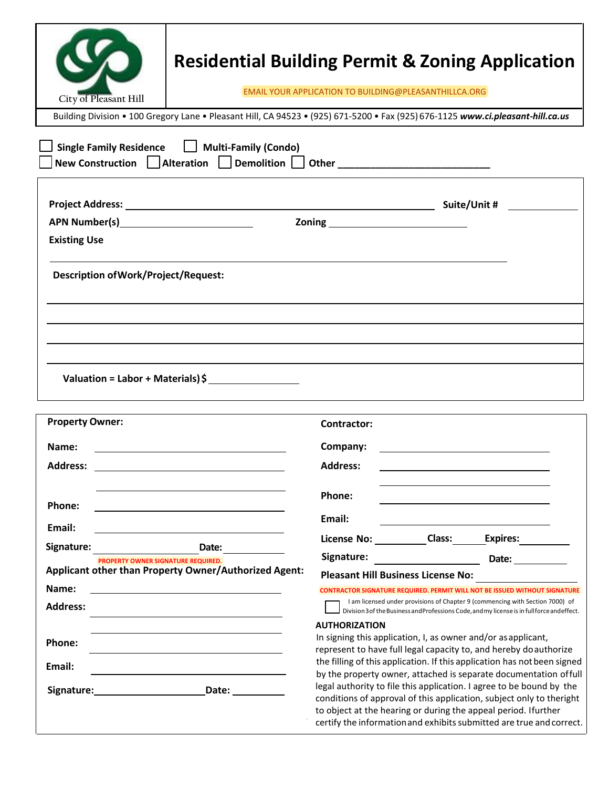|                                                                                                                                                                                                                                                       | <b>Residential Building Permit &amp; Zoning Application</b>                                                                        |                                                                                                                                                                                                                                                                                                                                                             |  |                                                                                                                                                                               |  |
|-------------------------------------------------------------------------------------------------------------------------------------------------------------------------------------------------------------------------------------------------------|------------------------------------------------------------------------------------------------------------------------------------|-------------------------------------------------------------------------------------------------------------------------------------------------------------------------------------------------------------------------------------------------------------------------------------------------------------------------------------------------------------|--|-------------------------------------------------------------------------------------------------------------------------------------------------------------------------------|--|
| City of Pleasant Hill                                                                                                                                                                                                                                 | EMAIL YOUR APPLICATION TO BUILDING@PLEASANTHILLCA.ORG                                                                              |                                                                                                                                                                                                                                                                                                                                                             |  |                                                                                                                                                                               |  |
|                                                                                                                                                                                                                                                       | Building Division • 100 Gregory Lane • Pleasant Hill, CA 94523 • (925) 671-5200 • Fax (925) 676-1125 www.ci.pleasant-hill.ca.us    |                                                                                                                                                                                                                                                                                                                                                             |  |                                                                                                                                                                               |  |
|                                                                                                                                                                                                                                                       | Single Family Residence   Multi-Family (Condo)<br>New Construction Alteration Demolition Other ___________________________________ |                                                                                                                                                                                                                                                                                                                                                             |  |                                                                                                                                                                               |  |
| APN Number(s) New York Contract Contract Contract Contract Contract Contract Contract Contract Contract Contract Contract Contract Contract Contract Contract Contract Contract Contract Contract Contract Contract Contract C<br><b>Existing Use</b> |                                                                                                                                    |                                                                                                                                                                                                                                                                                                                                                             |  |                                                                                                                                                                               |  |
| <b>Description of Work/Project/Request:</b>                                                                                                                                                                                                           |                                                                                                                                    |                                                                                                                                                                                                                                                                                                                                                             |  |                                                                                                                                                                               |  |
|                                                                                                                                                                                                                                                       |                                                                                                                                    |                                                                                                                                                                                                                                                                                                                                                             |  |                                                                                                                                                                               |  |
|                                                                                                                                                                                                                                                       |                                                                                                                                    |                                                                                                                                                                                                                                                                                                                                                             |  |                                                                                                                                                                               |  |
|                                                                                                                                                                                                                                                       | Valuation = Labor + Materials) \$                                                                                                  |                                                                                                                                                                                                                                                                                                                                                             |  |                                                                                                                                                                               |  |
| <b>Property Owner:</b>                                                                                                                                                                                                                                |                                                                                                                                    | Contractor:                                                                                                                                                                                                                                                                                                                                                 |  |                                                                                                                                                                               |  |
| Name:                                                                                                                                                                                                                                                 |                                                                                                                                    | Company:                                                                                                                                                                                                                                                                                                                                                    |  | the contract of the contract of the contract of the contract of the contract of                                                                                               |  |
| <b>Address:</b>                                                                                                                                                                                                                                       |                                                                                                                                    | <b>Address:</b>                                                                                                                                                                                                                                                                                                                                             |  |                                                                                                                                                                               |  |
| Phone:                                                                                                                                                                                                                                                |                                                                                                                                    | Phone:                                                                                                                                                                                                                                                                                                                                                      |  |                                                                                                                                                                               |  |
| Email:                                                                                                                                                                                                                                                |                                                                                                                                    | Email:                                                                                                                                                                                                                                                                                                                                                      |  |                                                                                                                                                                               |  |
| Signature:                                                                                                                                                                                                                                            | Date:                                                                                                                              | License No: Class:                                                                                                                                                                                                                                                                                                                                          |  | <b>Expires:</b>                                                                                                                                                               |  |
| <b>PROPERTY OWNER SIGNATURE REQUIRED.</b>                                                                                                                                                                                                             |                                                                                                                                    | Signature:                                                                                                                                                                                                                                                                                                                                                  |  | Date:                                                                                                                                                                         |  |
| Name:                                                                                                                                                                                                                                                 | Applicant other than Property Owner/Authorized Agent:                                                                              | <b>Pleasant Hill Business License No:</b><br><b>CONTRACTOR SIGNATURE REQUIRED. PERMIT WILL NOT BE ISSUED WITHOUT SIGNATURE</b>                                                                                                                                                                                                                              |  |                                                                                                                                                                               |  |
| <b>Address:</b>                                                                                                                                                                                                                                       |                                                                                                                                    |                                                                                                                                                                                                                                                                                                                                                             |  | I am licensed under provisions of Chapter 9 (commencing with Section 7000) of<br>Division 3 of the Business and Professions Code, and my license is in full force and effect. |  |
| Phone:<br>Email:                                                                                                                                                                                                                                      |                                                                                                                                    | <b>AUTHORIZATION</b><br>In signing this application, I, as owner and/or as applicant,<br>represent to have full legal capacity to, and hereby do authorize<br>the filling of this application. If this application has not been signed                                                                                                                      |  |                                                                                                                                                                               |  |
| Signature:                                                                                                                                                                                                                                            | Date: and the same of the same of the same of the same of the same of the same of the same of the same of the s                    | by the property owner, attached is separate documentation of full<br>legal authority to file this application. I agree to be bound by the<br>conditions of approval of this application, subject only to theright<br>to object at the hearing or during the appeal period. Ifurther<br>certify the information and exhibits submitted are true and correct. |  |                                                                                                                                                                               |  |